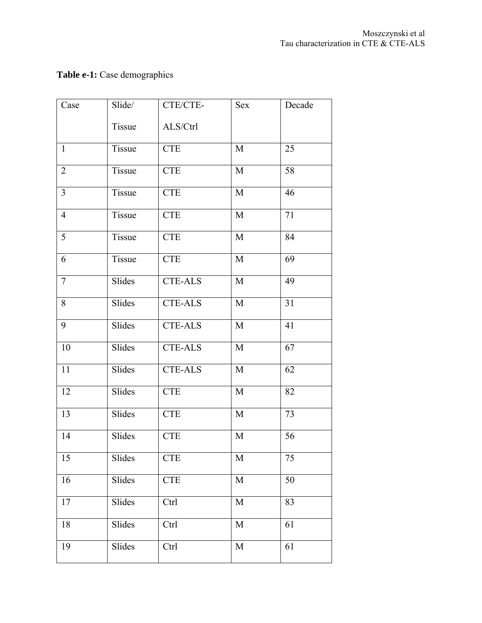## **Table e-1:** Case demographics

| Case           | Slide/ | CTE/CTE-                    | Sex         | Decade |
|----------------|--------|-----------------------------|-------------|--------|
|                | Tissue | ALS/Ctrl                    |             |        |
| $\mathbf{1}$   | Tissue | <b>CTE</b>                  | M           | 25     |
| $\overline{2}$ | Tissue | $\ensuremath{\mathsf{CTE}}$ | M           | 58     |
| $\overline{3}$ | Tissue | <b>CTE</b>                  | M           | 46     |
| $\overline{4}$ | Tissue | <b>CTE</b>                  | M           | 71     |
| 5              | Tissue | <b>CTE</b>                  | M           | 84     |
| 6              | Tissue | <b>CTE</b>                  | M           | 69     |
| $\overline{7}$ | Slides | <b>CTE-ALS</b>              | M           | 49     |
| 8              | Slides | <b>CTE-ALS</b>              | $\mathbf M$ | 31     |
| 9              | Slides | <b>CTE-ALS</b>              | M           | 41     |
| 10             | Slides | <b>CTE-ALS</b>              | $\mathbf M$ | 67     |
| 11             | Slides | $CTE-ALS$                   | M           | 62     |
| 12             | Slides | <b>CTE</b>                  | $\mathbf M$ | 82     |
| 13             | Slides | <b>CTE</b>                  | $\mathbf M$ | 73     |
| 14             | Slides | <b>CTE</b>                  | $\mathbf M$ | 56     |
| 15             | Slides | <b>CTE</b>                  | M           | 75     |
| 16             | Slides | <b>CTE</b>                  | $\mathbf M$ | 50     |
| 17             | Slides | Ctrl                        | $\mathbf M$ | 83     |
| 18             | Slides | Ctrl                        | $\mathbf M$ | 61     |
| 19             | Slides | Ctrl                        | $\mathbf M$ | 61     |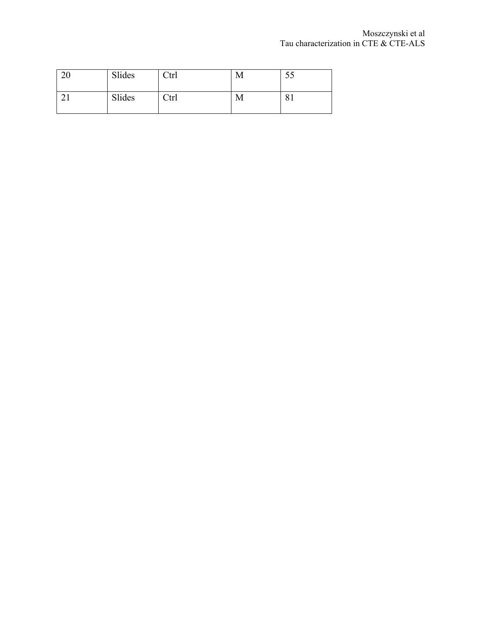| 20 | Slides | Ctrl | М |    |
|----|--------|------|---|----|
|    | Slides | Ctrl | M | ΟI |
|    |        |      |   |    |